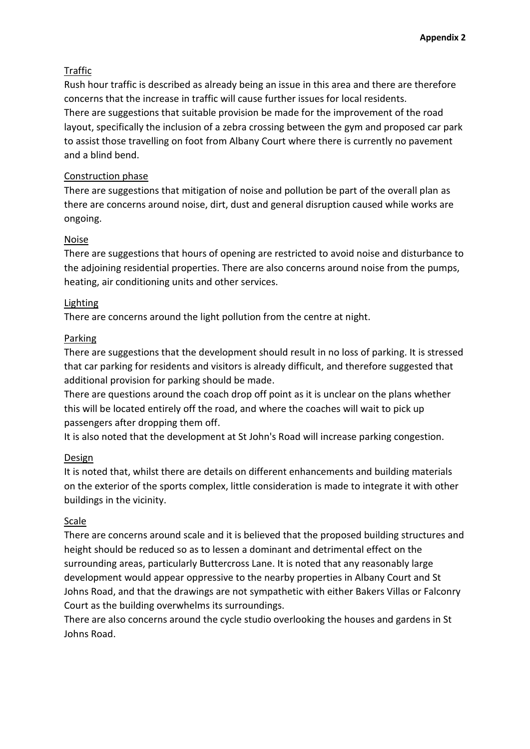# Traffic

Rush hour traffic is described as already being an issue in this area and there are therefore concerns that the increase in traffic will cause further issues for local residents. There are suggestions that suitable provision be made for the improvement of the road layout, specifically the inclusion of a zebra crossing between the gym and proposed car park to assist those travelling on foot from Albany Court where there is currently no pavement and a blind bend.

## Construction phase

There are suggestions that mitigation of noise and pollution be part of the overall plan as there are concerns around noise, dirt, dust and general disruption caused while works are ongoing.

# Noise

There are suggestions that hours of opening are restricted to avoid noise and disturbance to the adjoining residential properties. There are also concerns around noise from the pumps, heating, air conditioning units and other services.

# Lighting

There are concerns around the light pollution from the centre at night.

# Parking

There are suggestions that the development should result in no loss of parking. It is stressed that car parking for residents and visitors is already difficult, and therefore suggested that additional provision for parking should be made.

There are questions around the coach drop off point as it is unclear on the plans whether this will be located entirely off the road, and where the coaches will wait to pick up passengers after dropping them off.

It is also noted that the development at St John's Road will increase parking congestion.

### Design

It is noted that, whilst there are details on different enhancements and building materials on the exterior of the sports complex, little consideration is made to integrate it with other buildings in the vicinity.

# Scale

There are concerns around scale and it is believed that the proposed building structures and height should be reduced so as to lessen a dominant and detrimental effect on the surrounding areas, particularly Buttercross Lane. It is noted that any reasonably large development would appear oppressive to the nearby properties in Albany Court and St Johns Road, and that the drawings are not sympathetic with either Bakers Villas or Falconry Court as the building overwhelms its surroundings.

There are also concerns around the cycle studio overlooking the houses and gardens in St Johns Road.